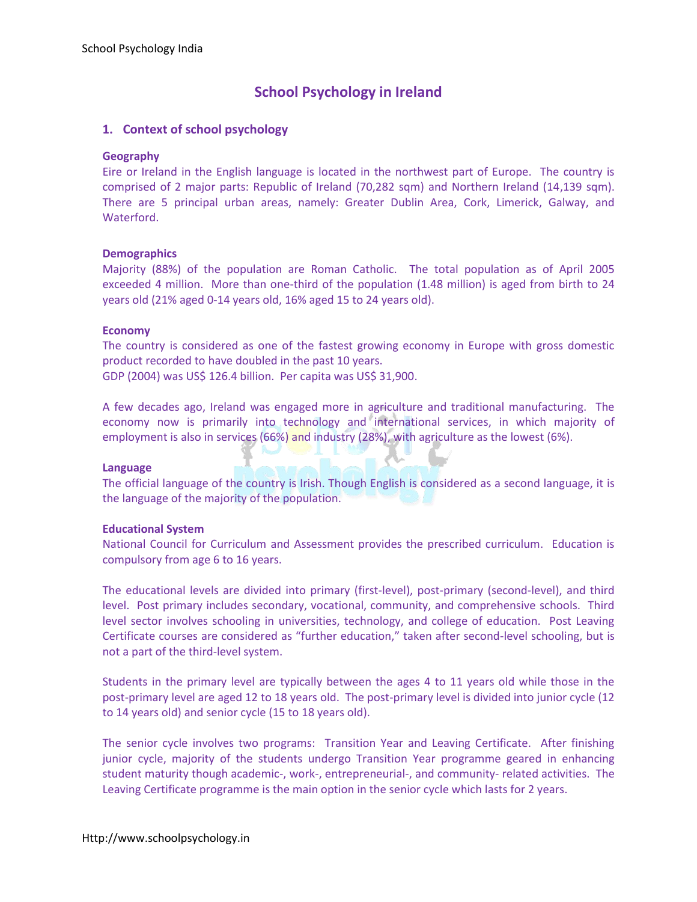# **School Psychology in Ireland**

## **1. Context of school psychology**

#### **Geography**

Eire or Ireland in the English language is located in the northwest part of Europe. The country is comprised of 2 major parts: Republic of Ireland (70,282 sqm) and Northern Ireland (14,139 sqm). There are 5 principal urban areas, namely: Greater Dublin Area, Cork, Limerick, Galway, and Waterford.

#### **Demographics**

Majority (88%) of the population are Roman Catholic. The total population as of April 2005 exceeded 4 million. More than one-third of the population (1.48 million) is aged from birth to 24 years old (21% aged 0-14 years old, 16% aged 15 to 24 years old).

#### **Economy**

The country is considered as one of the fastest growing economy in Europe with gross domestic product recorded to have doubled in the past 10 years.

GDP (2004) was US\$ 126.4 billion. Per capita was US\$ 31,900.

A few decades ago, Ireland was engaged more in agriculture and traditional manufacturing. The economy now is primarily into technology and international services, in which majority of employment is also in services (66%) and industry (28%), with agriculture as the lowest (6%).

#### **Language**

The official language of the country is Irish. Though English is considered as a second language, it is the language of the majority of the population.

#### **Educational System**

National Council for Curriculum and Assessment provides the prescribed curriculum. Education is compulsory from age 6 to 16 years.

The educational levels are divided into primary (first-level), post-primary (second-level), and third level. Post primary includes secondary, vocational, community, and comprehensive schools. Third level sector involves schooling in universities, technology, and college of education. Post Leaving Certificate courses are considered as "further education," taken after second-level schooling, but is not a part of the third-level system.

Students in the primary level are typically between the ages 4 to 11 years old while those in the post-primary level are aged 12 to 18 years old. The post-primary level is divided into junior cycle (12 to 14 years old) and senior cycle (15 to 18 years old).

The senior cycle involves two programs: Transition Year and Leaving Certificate. After finishing junior cycle, majority of the students undergo Transition Year programme geared in enhancing student maturity though academic-, work-, entrepreneurial-, and community- related activities. The Leaving Certificate programme is the main option in the senior cycle which lasts for 2 years.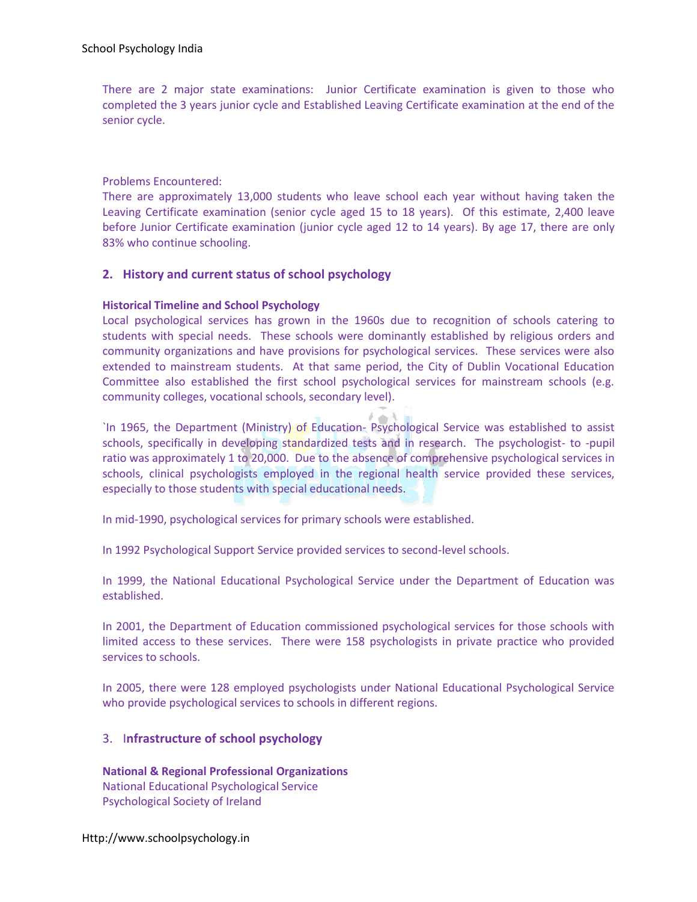There are 2 major state examinations: Junior Certificate examination is given to those who completed the 3 years junior cycle and Established Leaving Certificate examination at the end of the senior cycle.

Problems Encountered:

There are approximately 13,000 students who leave school each year without having taken the Leaving Certificate examination (senior cycle aged 15 to 18 years). Of this estimate, 2,400 leave before Junior Certificate examination (junior cycle aged 12 to 14 years). By age 17, there are only 83% who continue schooling.

## **2. History and current status of school psychology**

## **Historical Timeline and School Psychology**

Local psychological services has grown in the 1960s due to recognition of schools catering to students with special needs. These schools were dominantly established by religious orders and community organizations and have provisions for psychological services. These services were also extended to mainstream students. At that same period, the City of Dublin Vocational Education Committee also established the first school psychological services for mainstream schools (e.g. community colleges, vocational schools, secondary level).

 $\ell \rightarrow \lambda$ `In 1965, the Department (Ministry) of Education- Psychological Service was established to assist schools, specifically in developing standardized tests and in research. The psychologist- to -pupil ratio was approximately 1 to 20,000. Due to the absence of comprehensive psychological services in schools, clinical psychologists employed in the regional health service provided these services, especially to those students with special educational needs.

In mid-1990, psychological services for primary schools were established.

In 1992 Psychological Support Service provided services to second-level schools.

In 1999, the National Educational Psychological Service under the Department of Education was established.

In 2001, the Department of Education commissioned psychological services for those schools with limited access to these services. There were 158 psychologists in private practice who provided services to schools.

In 2005, there were 128 employed psychologists under National Educational Psychological Service who provide psychological services to schools in different regions.

# 3. I**nfrastructure of school psychology**

**National & Regional Professional Organizations**  National Educational Psychological Service Psychological Society of Ireland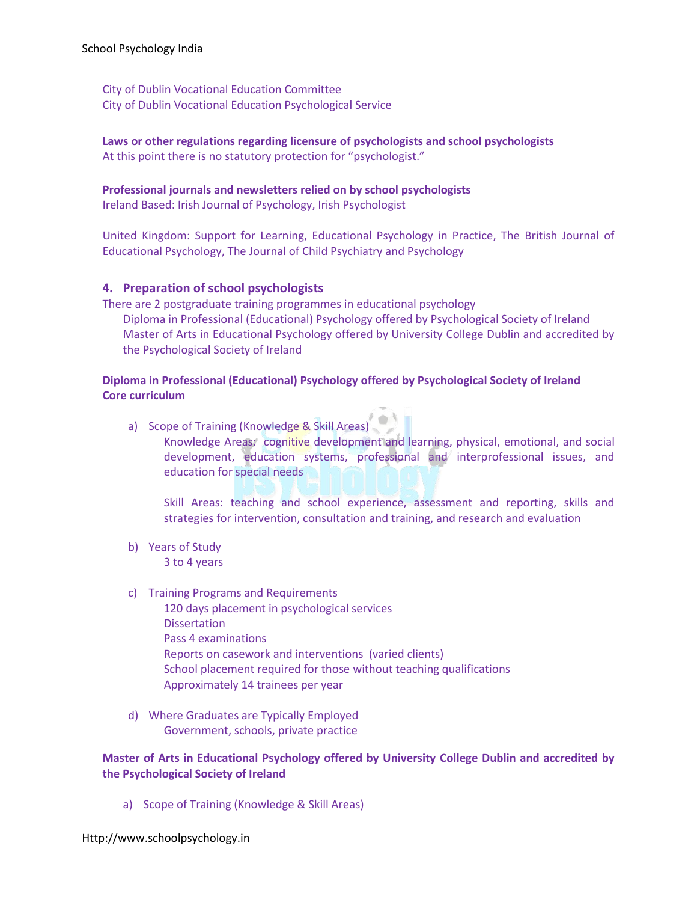City of Dublin Vocational Education Committee City of Dublin Vocational Education Psychological Service

**Laws or other regulations regarding licensure of psychologists and school psychologists** At this point there is no statutory protection for "psychologist."

#### **Professional journals and newsletters relied on by school psychologists**

Ireland Based: Irish Journal of Psychology, Irish Psychologist

United Kingdom: Support for Learning, Educational Psychology in Practice, The British Journal of Educational Psychology, The Journal of Child Psychiatry and Psychology

## **4. Preparation of school psychologists**

There are 2 postgraduate training programmes in educational psychology Diploma in Professional (Educational) Psychology offered by Psychological Society of Ireland Master of Arts in Educational Psychology offered by University College Dublin and accredited by the Psychological Society of Ireland

## **Diploma in Professional (Educational) Psychology offered by Psychological Society of Ireland Core curriculum**

a) Scope of Training (Knowledge & Skill Areas) Knowledge Areas: cognitive development and learning, physical, emotional, and social development, education systems, professional and interprofessional issues, and education for special needs

Skill Areas: teaching and school experience, assessment and reporting, skills and strategies for intervention, consultation and training, and research and evaluation

- b) Years of Study 3 to 4 years
- c) Training Programs and Requirements
	- 120 days placement in psychological services Dissertation Pass 4 examinations Reports on casework and interventions (varied clients) School placement required for those without teaching qualifications Approximately 14 trainees per year
- d) Where Graduates are Typically Employed Government, schools, private practice

## **Master of Arts in Educational Psychology offered by University College Dublin and accredited by the Psychological Society of Ireland**

a) Scope of Training (Knowledge & Skill Areas)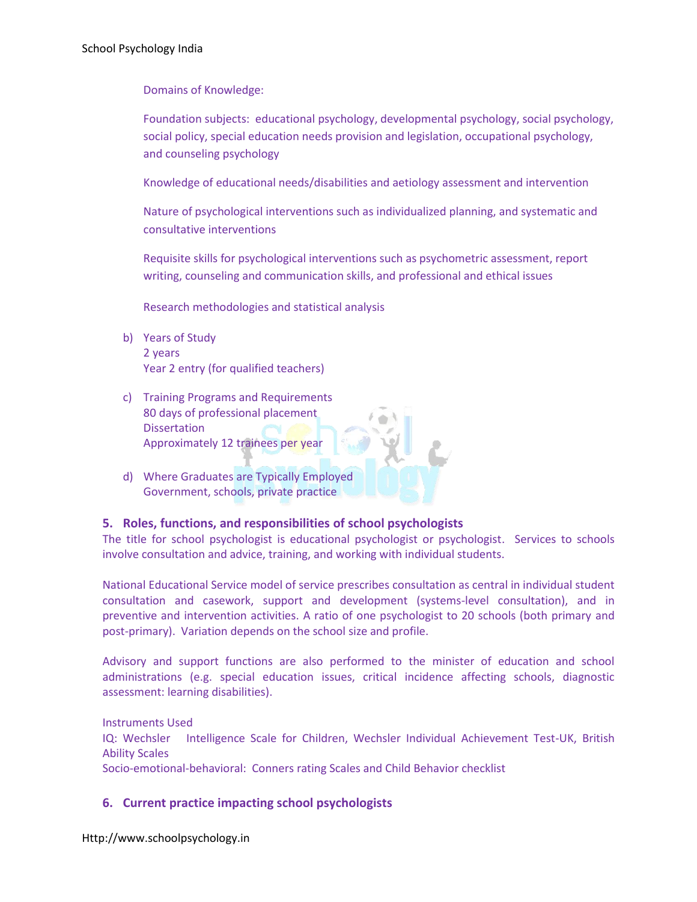Domains of Knowledge:

Foundation subjects: educational psychology, developmental psychology, social psychology, social policy, special education needs provision and legislation, occupational psychology, and counseling psychology

Knowledge of educational needs/disabilities and aetiology assessment and intervention

Nature of psychological interventions such as individualized planning, and systematic and consultative interventions

Requisite skills for psychological interventions such as psychometric assessment, report writing, counseling and communication skills, and professional and ethical issues

Research methodologies and statistical analysis

- b) Years of Study 2 years Year 2 entry (for qualified teachers)
- c) Training Programs and Requirements 80 days of professional placement **Dissertation** Approximately 12 trainees per year
- d) Where Graduates are Typically Employed Government, schools, private practice

# **5. Roles, functions, and responsibilities of school psychologists**

The title for school psychologist is educational psychologist or psychologist. Services to schools involve consultation and advice, training, and working with individual students.

National Educational Service model of service prescribes consultation as central in individual student consultation and casework, support and development (systems-level consultation), and in preventive and intervention activities. A ratio of one psychologist to 20 schools (both primary and post-primary). Variation depends on the school size and profile.

Advisory and support functions are also performed to the minister of education and school administrations (e.g. special education issues, critical incidence affecting schools, diagnostic assessment: learning disabilities).

Instruments Used IQ: Wechsler Intelligence Scale for Children, Wechsler Individual Achievement Test-UK, British Ability Scales Socio-emotional-behavioral: Conners rating Scales and Child Behavior checklist

# **6. Current practice impacting school psychologists**

Http://www.schoolpsychology.in